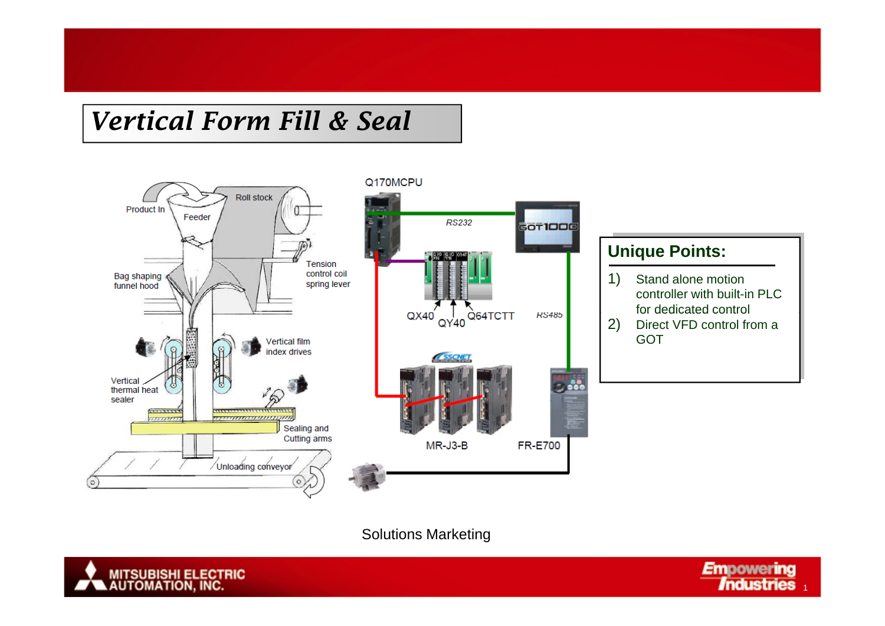# *Vertical Form Fill & Seal*



#### **Unique Points:**

1) Stand alone motion controller with built-in PLC for dedicated control

2) Direct VFD control from a GOT

Solutions Marketing



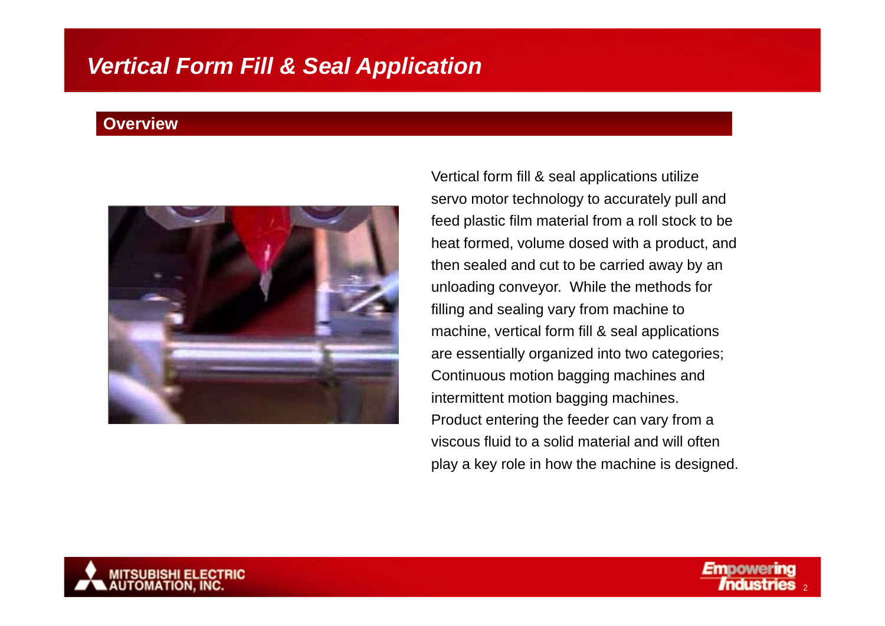#### **Overview**



Vertical form fill & seal applications utilize servo motor technology to accurately pull and feed plastic film material from a roll stock to be heat formed, volume dosed with a product, and then sealed and cut to be carried away by an unloading conveyor. While the methods for filling and sealing vary from machine to machine, vertical form fill & seal applications are essentially organized into two categories; Continuous motion bagging machines and intermittent motion bagging machines. Product entering the feeder can vary from a viscous fluid to a solid material and will often play a key role in how the machine is designed.

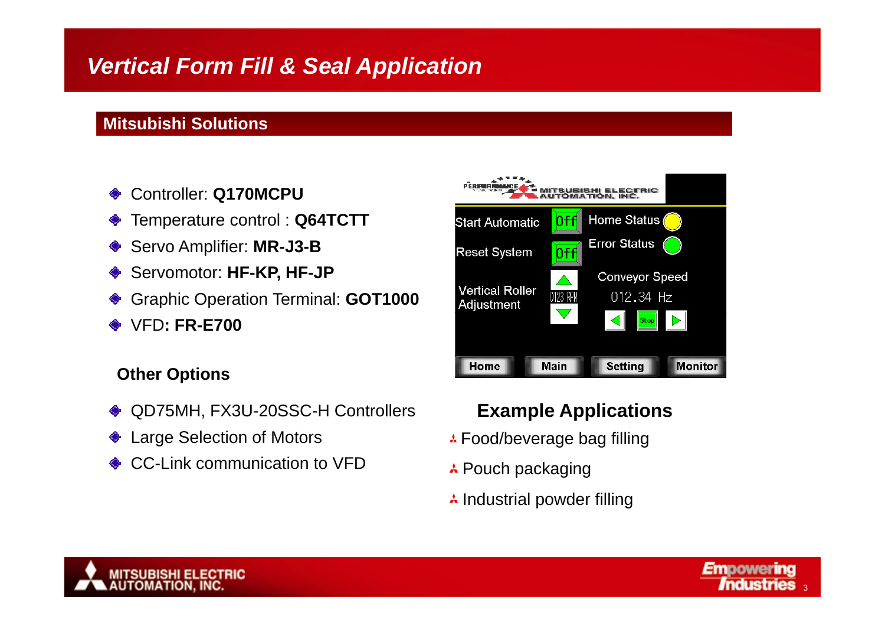### **Mitsubishi Solutions**

- Controller: **Q170MCPU**
- Temperature control : **Q64TCTT**
- Servo Amplifier: **MR-J3-B**
- Servomotor: **HF-KP, HF-JP**
- Graphic Operation Terminal: **GOT1000**
- VFD**: FR-E700**

#### **Other Options**

- QD75MH, FX3U-20SSC-H Controllers
- Large Selection of Motors
- **♦ CC-Link communication to VFD**



### **Example Applications**

- **A Food/beverage bag filling**
- **A** Pouch packaging
- $\lambda$  Industrial powder filling



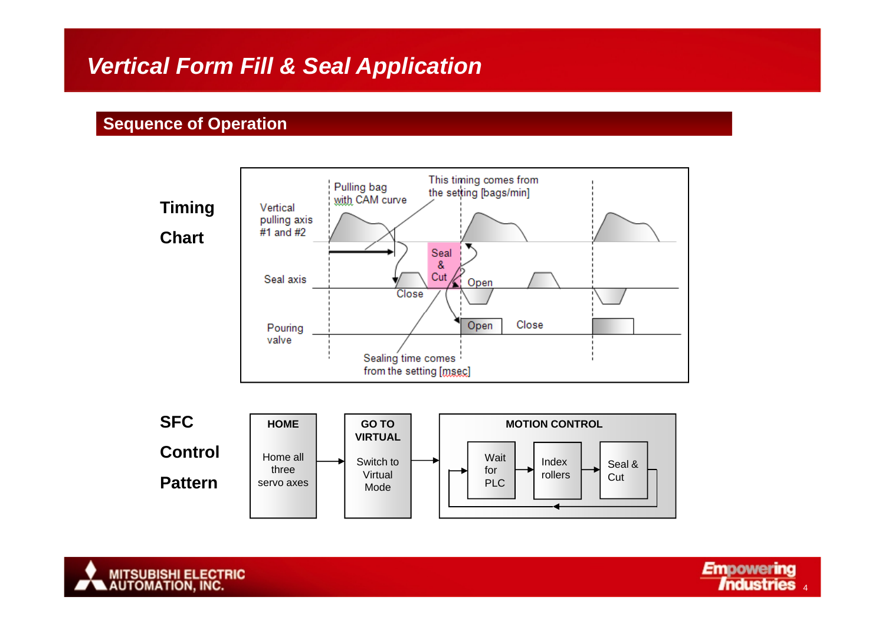#### **Sequence of Operation**





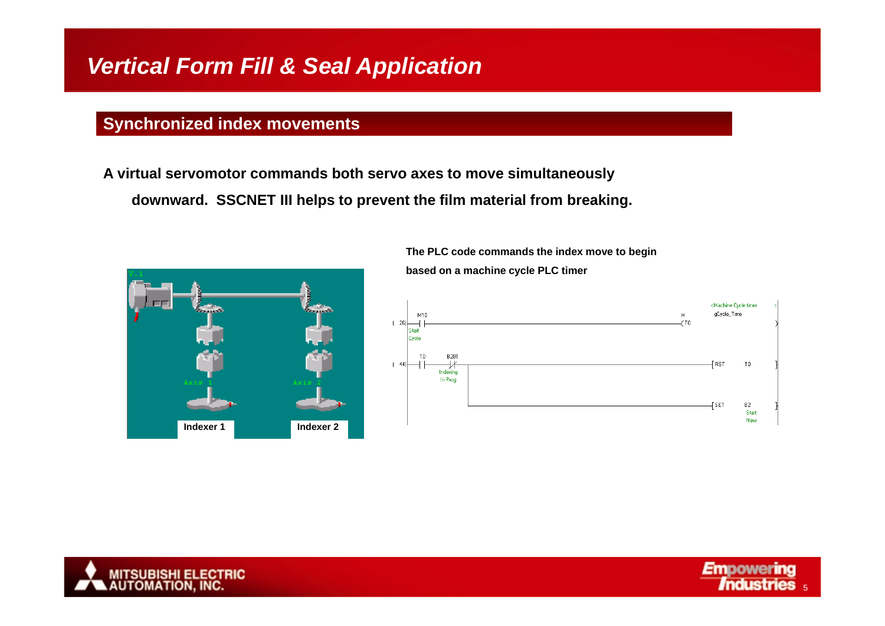### **Synchronized index movements**

A virtual servomotor commands both servo axes to move simultaneously **downward. SSCNET III helps to prevent the film material from breaking.**



#### **The PLC code commands the index move to begin**

**based on a machine cycle PLC timer**





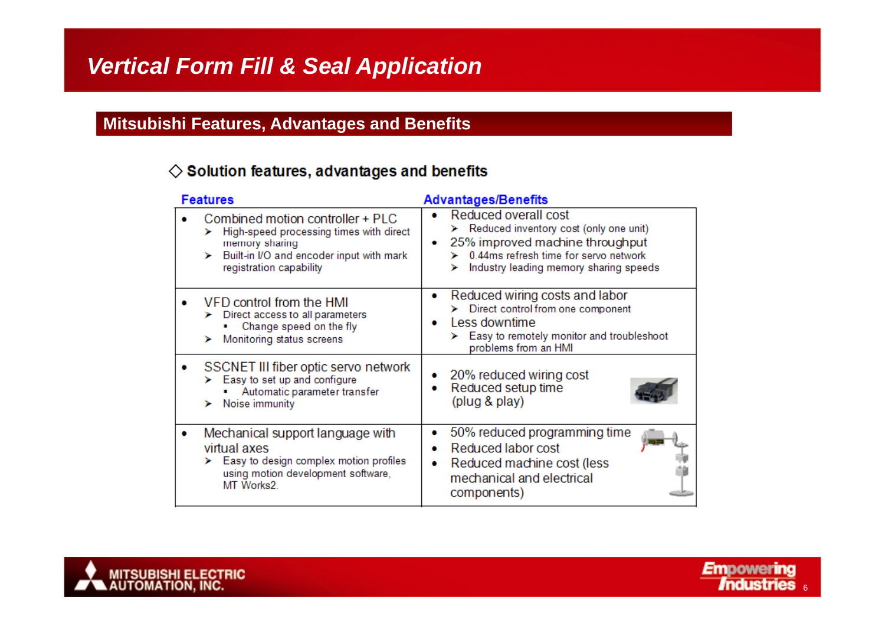### **Mitsubishi Features, Advantages and Benefits**

#### $\diamondsuit$  Solution features, advantages and benefits

| <b>Features</b> |                                                                                                                                                                           | <b>Advantages/Benefits</b> |                                                                                                                                                                                        |
|-----------------|---------------------------------------------------------------------------------------------------------------------------------------------------------------------------|----------------------------|----------------------------------------------------------------------------------------------------------------------------------------------------------------------------------------|
|                 | Combined motion controller + PLC<br>High-speed processing times with direct<br>⋗<br>memory sharing<br>Built-in I/O and encoder input with mark<br>registration capability |                            | Reduced overall cost<br>> Reduced inventory cost (only one unit)<br>25% improved machine throughput<br>0.44ms refresh time for servo network<br>Industry leading memory sharing speeds |
|                 | VFD control from the HMI<br>Direct access to all parameters<br>Change speed on the fly<br>Monitoring status screens                                                       | ۰                          | Reduced wiring costs and labor<br>> Direct control from one component<br>Less downtime<br>Easy to remotely monitor and troubleshoot<br>problems from an HMI                            |
|                 | SSCNET III fiber optic servo network<br>> Easy to set up and configure<br>Automatic parameter transfer<br>Noise immunity                                                  |                            | 20% reduced wiring cost<br>Reduced setup time<br>(plug & play)                                                                                                                         |
|                 | Mechanical support language with<br>virtual axes<br>Easy to design complex motion profiles<br>using motion development software,<br>MT Works2.                            | ۰                          | 50% reduced programming time<br>Reduced labor cost<br>Reduced machine cost (less<br>mechanical and electrical<br>components)                                                           |



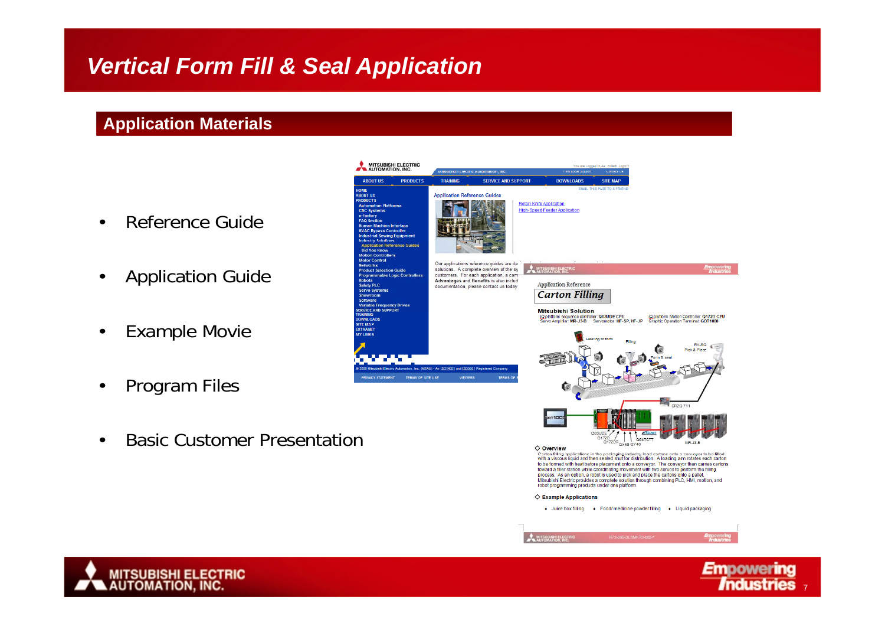### **Application Materials**

- •Reference Guide
- •Application Guide
- •Example Movie
- •Program Files
- •Basic Customer Presentation



process. As an option, a robot is used to pick and place the cartons onto a pallet Mitsubishi Electric provides a complete solution through combining PLC, HMI, motion, and

+ Juice box filling + Food/ medicine powder filling + Liquid packaging

robot programming products under one platform

 $\diamondsuit$  Example Applications

**WITSUBISHI ELECTI**